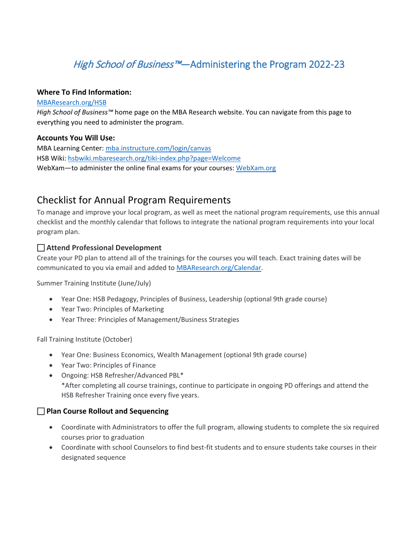# High School of Business<sup>™</sup>—Administering the Program 2022-23

#### **Where To Find Information:**

#### [MBAResearch.org/HSB](http://www.mbaresearch.org/HSB)

*High School of Business™* home page on the MBA Research website. You can navigate from this page to everything you need to administer the program.

#### **Accounts You Will Use:**

MBA Learning Center[: mba.instructure.com/login/canvas](http://mba.instructure.com/login/canvas)  HSB Wiki[: hsbwiki.mbaresearch.org/tiki-index.php?page=Welcome](http://hsbwiki.mbaresearch.org/tiki-index.php?page=Welcome)  WebXam-to administer the online final exams for your courses: [WebXam.org](http://www.webxam.org/)

## Checklist for Annual Program Requirements

To manage and improve your local program, as well as meet the national program requirements, use this annual checklist and the monthly calendar that follows to integrate the national program requirements into your local program plan.

## **Attend Professional Development**

Create your PD plan to attend all of the trainings for the courses you will teach. Exact training dates will be communicated to you via email and added t[o MBAResearch.org/Calendar.](http://mbaresearch.org/Calendar)

Summer Training Institute (June/July)

- Year One: HSB Pedagogy, Principles of Business, Leadership (optional 9th grade course)
- Year Two: Principles of Marketing
- Year Three: Principles of Management/Business Strategies

Fall Training Institute (October)

- Year One: Business Economics, Wealth Management (optional 9th grade course)
- Year Two: Principles of Finance
- Ongoing: HSB Refresher/Advanced PBL\* \*After completing all course trainings, continue to participate in ongoing PD offerings and attend the HSB Refresher Training once every five years.

## **Plan Course Rollout and Sequencing**

- Coordinate with Administrators to offer the full program, allowing students to complete the six required courses prior to graduation
- Coordinate with school Counselors to find best-fit students and to ensure students take courses in their designated sequence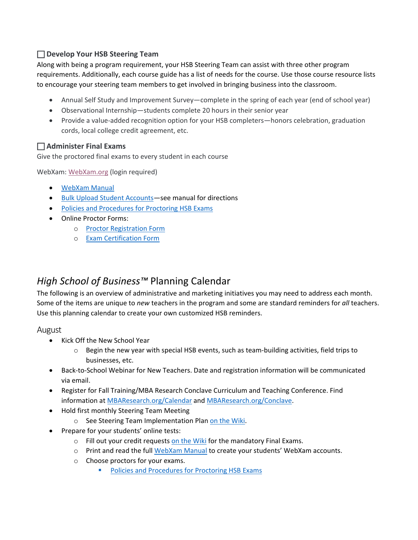## **Develop Your HSB Steering Team**

Along with being a program requirement, your [HSB Steering Team](http://www.mbaresearch.org/HSBSteeringTeam) can assist with three other program requirements. Additionally, each course guide has a list of needs for the course. Use those course resource lists to encourage your steering team members to get involved in bringing business into the classroom.

- Annual Self Study and Improvement Survey—complete in the spring of each year (end of school year)
- Observational Internship—students complete 20 hours in their senior year
- Provide a value-added recognition option for your HSB completers—honors celebration, graduation cords, local college credit agreement, etc.

## **Administer Final Exams**

Give the proctored final exams to every student in each course

WebXam: [WebXam.org](http://www.webxam.org/) (login required)

- [WebXam Manual](https://www.mbaresearch.org/wp-content/uploads/2021/09/HSB-WebXam-Manual-17_18.pdf)
- Bulk Upload Student Accounts-see manual for directions
- [Policies and Procedures for Proctoring HSB Exams](http://www.mbaresearch.info/download/HSB/Policies%20and%20Procedures%20for%20Proctoring%20HSB%20Exams%202016_17.pdf)
- Online Proctor Forms:
	- o [Proctor Registration Form](https://docs.google.com/forms/d/e/1FAIpQLSd-ZCgqH8yL3unafUJNyQcoUueiswr4riPGxAFMaXkL5p7DVw/viewform)
	- o [Exam Certification Form](https://docs.google.com/forms/d/e/1FAIpQLScBGpByW-F3DQ498rIbbWDtF5kFnrHqe0fqj-BIvaPBkjq6iw/viewform)

## *High School of Business™* Planning Calendar

The following is an overview of administrative and marketing initiatives you may need to address each month. Some of the items are unique to *new* teachers in the program and some are standard reminders for *all* teachers. Use this planning calendar to create your own customized HSB reminders.

August

- Kick Off the New School Year
	- $\circ$  Begin the new year with special HSB events, such as team-building activities, field trips to businesses, etc.
- Back-to-School Webinar for New Teachers. Date and registration information will be communicated via email.
- Register for Fall Training/MBA Research Conclave Curriculum and Teaching Conference. Find information at [MBAResearch.org/Calendar](https://www.mbaresearch.org/calendar/) and [MBAResearch.org/Conclave.](http://www.mbaresearch.org/Conclave)
- Hold first monthly Steering Team Meeting
	- o See Steering Team Implementation Plan [on the Wiki.](http://hsbwiki.mbaresearch.org/tiki-index.php?page=Welcome)
- Prepare for your students' online tests:
	- $\circ$  Fill out your credit requests [on the Wiki](http://hsbwiki.mbaresearch.org/tiki-index.php?page=Welcome) for the mandatory Final Exams.
	- o Print and read the full [WebXam Manual](https://www.mbaresearch.org/wp-content/uploads/2021/09/HSB-WebXam-Manual-17_18.pdf) to create your students' WebXam accounts.
	- o Choose proctors for your exams.
		- **[Policies and Procedures for Proctoring HSB Exams](http://www.mbaresearch.info/download/HSB/Policies%20and%20Procedures%20for%20Proctoring%20HSB%20Exams%202016_17.pdf)**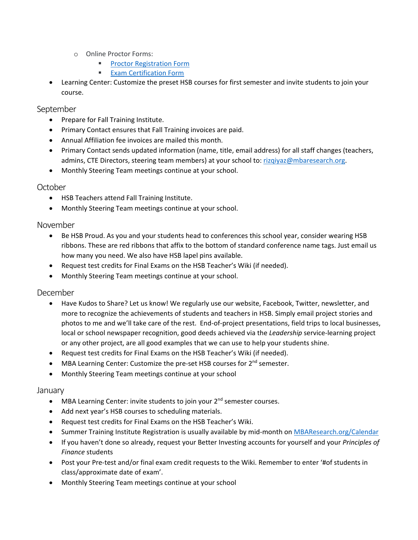- o Online Proctor Forms:
	- **[Proctor Registration Form](https://docs.google.com/forms/d/e/1FAIpQLSd-ZCgqH8yL3unafUJNyQcoUueiswr4riPGxAFMaXkL5p7DVw/viewform)**
	- **[Exam Certification Form](https://docs.google.com/forms/d/e/1FAIpQLScBGpByW-F3DQ498rIbbWDtF5kFnrHqe0fqj-BIvaPBkjq6iw/viewform)**
- Learning Center: Customize the preset HSB courses for first semester and invite students to join your course.

#### September

- Prepare for Fall Training Institute.
- Primary Contact ensures that Fall Training invoices are paid.
- Annual Affiliation fee invoices are mailed this month.
- Primary Contact sends updated information (name, title, email address) for all staff changes (teachers, admins, CTE Directors, steering team members) at your school to: [rizqiyaz@mbaresearch.org.](mailto:%20rizqiyaz@mbaresearch.org)
- Monthly Steering Team meetings continue at your school.

#### **October**

- HSB Teachers attend Fall Training Institute.
- Monthly Steering Team meetings continue at your school.

#### November

- Be HSB Proud. As you and your students head to conferences this school year, consider wearing HSB ribbons. These are red ribbons that affix to the bottom of standard conference name tags. Just email us how many you need. We also have HSB lapel pins available.
- Request test credits for Final Exams on the HSB Teacher's Wiki (if needed).
- Monthly Steering Team meetings continue at your school.

## December

- Have Kudos to Share? Let us know! We regularly use our website, Facebook, Twitter, newsletter, and more to recognize the achievements of students and teachers in HSB. Simply email project stories and photos to me and we'll take care of the rest. End-of-project presentations, field trips to local businesses, local or school newspaper recognition, good deeds achieved via the *Leadership* service-learning project or any other project, are all good examples that we can use to help your students shine.
- Request test credits for Final Exams on the HSB Teacher's Wiki (if needed).
- MBA Learning Center: Customize the pre-set HSB courses for  $2^{nd}$  semester.
- Monthly Steering Team meetings continue at your school

#### January

- MBA Learning Center: invite students to join your 2<sup>nd</sup> semester courses.
- Add next year's HSB courses to scheduling materials.
- Request test credits for Final Exams on the HSB Teacher's Wiki.
- Summer Training Institute Registration is usually available by mid-month on [MBAResearch.org/Calendar](https://www.mbaresearch.org/calendar/)
- If you haven't done so already, request your Better Investing accounts for yourself and your *Principles of Finance* students
- Post your Pre-test and/or final exam credit requests to the Wiki. Remember to enter '#of students in class/approximate date of exam'.
- Monthly Steering Team meetings continue at your school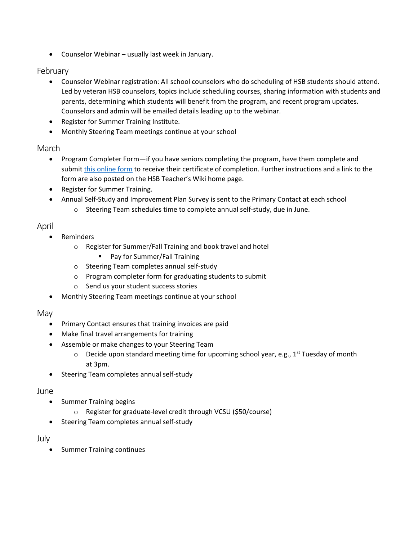• Counselor Webinar – usually last week in January.

## February

- Counselor Webinar registration: All school counselors who do scheduling of HSB students should attend. Led by veteran HSB counselors, topics include scheduling courses, sharing information with students and parents, determining which students will benefit from the program, and recent program updates. Counselors and admin will be emailed details leading up to the webinar.
- Register for Summer Training Institute.
- Monthly Steering Team meetings continue at your school

## March

- Program Completer Form—if you have seniors completing the program, have them complete and submit [this online form](https://docs.google.com/forms/d/e/1FAIpQLSegrb8anaIxxkjwLnOQzN7SgjiA4iYO_xhyCdEV227YfQxObg/viewform) to receive their certificate of completion. Further instructions and a link to the form are also posted on the HSB Teacher's Wiki home page.
- Register for Summer Training.
- Annual Self-Study and Improvement Plan Survey is sent to the Primary Contact at each school
	- o Steering Team schedules time to complete annual self-study, due in June.

## April

- Reminders
	- o Register for Summer/Fall Training and book travel and hotel
		- **Pay for Summer/Fall Training**
	- o Steering Team completes annual self-study
	- o Program completer form for graduating students to submit
	- o Send us your student success stories
- Monthly Steering Team meetings continue at your school

## May

- Primary Contact ensures that training invoices are paid
- Make final travel arrangements for training
- Assemble or make changes to your Steering Team
	- $\circ$  Decide upon standard meeting time for upcoming school year, e.g., 1<sup>st</sup> Tuesday of month at 3pm.
- Steering Team completes annual self-study

## June

- Summer Training begins
	- o Register for graduate-level credit through VCSU (\$50/course)
- Steering Team completes annual self-study

## July

• Summer Training continues